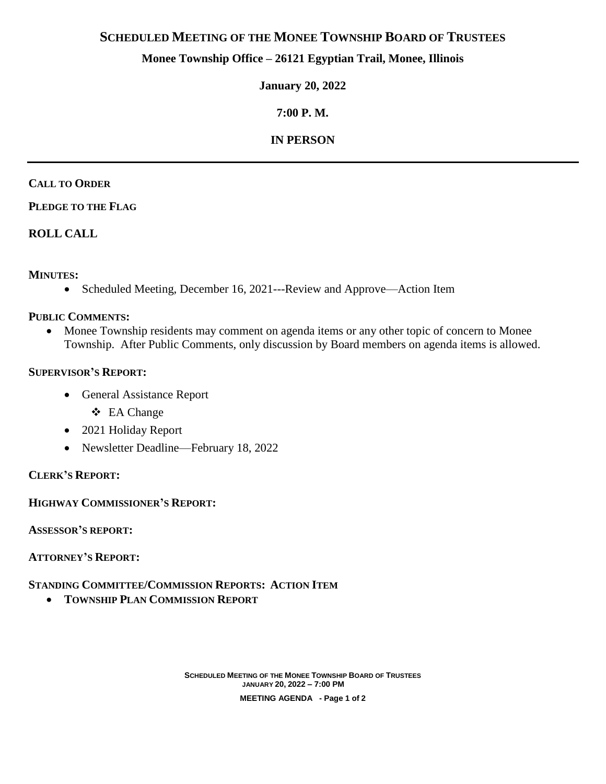# **SCHEDULED MEETING OF THE MONEE TOWNSHIP BOARD OF TRUSTEES**

## **Monee Township Office – 26121 Egyptian Trail, Monee, Illinois**

**January 20, 2022**

# **7:00 P. M.**

## **IN PERSON**

#### **CALL TO ORDER**

### **PLEDGE TO THE FLAG**

## **ROLL CALL**

## **MINUTES:**

Scheduled Meeting, December 16, 2021---Review and Approve—Action Item

### **PUBLIC COMMENTS:**

• Monee Township residents may comment on agenda items or any other topic of concern to Monee Township. After Public Comments, only discussion by Board members on agenda items is allowed.

### **SUPERVISOR'S REPORT:**

- General Assistance Report
	- EA Change
- 2021 Holiday Report
- Newsletter Deadline—February 18, 2022

## **CLERK'S REPORT:**

**HIGHWAY COMMISSIONER'S REPORT:**

**ASSESSOR'S REPORT:**

**ATTORNEY'S REPORT:**

## **STANDING COMMITTEE/COMMISSION REPORTS: ACTION ITEM**

**TOWNSHIP PLAN COMMISSION REPORT**

**SCHEDULED MEETING OF THE MONEE TOWNSHIP BOARD OF TRUSTEES JANUARY 20, 2022 – 7:00 PM MEETING AGENDA - Page 1 of 2**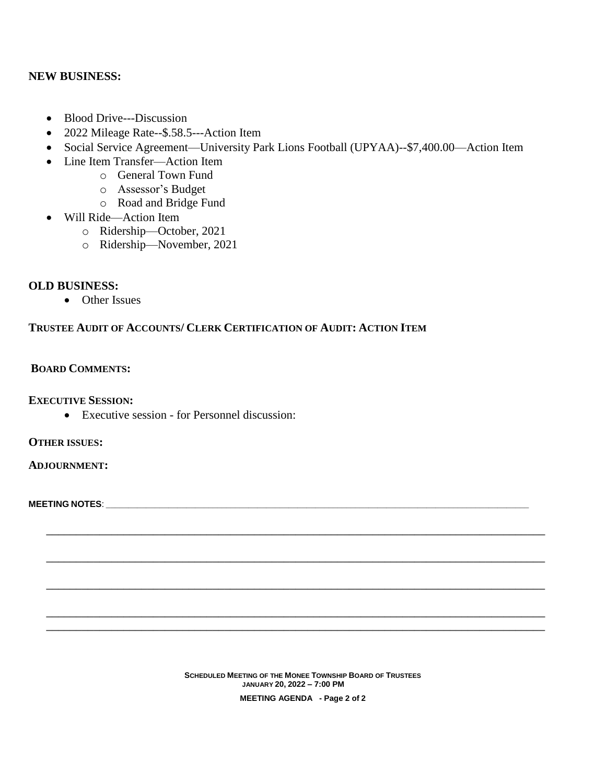#### **NEW BUSINESS:**

- Blood Drive---Discussion
- 2022 Mileage Rate--\$.58.5---Action Item
- Social Service Agreement—University Park Lions Football (UPYAA)--\$7,400.00—Action Item
- Line Item Transfer—Action Item
	- o General Town Fund
		- o Assessor's Budget
		- o Road and Bridge Fund
- Will Ride—Action Item
	- o Ridership—October, 2021
	- o Ridership—November, 2021

### **OLD BUSINESS:**

• Other Issues

### **TRUSTEE AUDIT OF ACCOUNTS/ CLERK CERTIFICATION OF AUDIT: ACTION ITEM**

#### **BOARD COMMENTS:**

**EXECUTIVE SESSION:**

Executive session - for Personnel discussion:

**OTHER ISSUES:**

**ADJOURNMENT:**

**MEETING NOTES**: \_\_\_\_\_\_\_\_\_\_\_\_\_\_\_\_\_\_\_\_\_\_\_\_\_\_\_\_\_\_\_\_\_\_\_\_\_\_\_\_\_\_\_\_\_\_\_\_\_\_\_\_\_\_\_\_\_\_\_\_\_\_\_\_\_\_\_\_\_\_\_\_\_\_\_\_\_\_\_\_\_\_\_\_\_\_\_\_\_\_\_\_\_\_\_

**SCHEDULED MEETING OF THE MONEE TOWNSHIP BOARD OF TRUSTEES JANUARY 20, 2022 – 7:00 PM MEETING AGENDA - Page 2 of 2**

**\_\_\_\_\_\_\_\_\_\_\_\_\_\_\_\_\_\_\_\_\_\_\_\_\_\_\_\_\_\_\_\_\_\_\_\_\_\_\_\_\_\_\_\_\_\_\_\_\_\_\_\_\_\_\_\_\_\_\_\_\_\_\_\_\_\_\_\_\_\_\_\_\_\_\_\_\_\_\_\_\_\_\_\_**

**\_\_\_\_\_\_\_\_\_\_\_\_\_\_\_\_\_\_\_\_\_\_\_\_\_\_\_\_\_\_\_\_\_\_\_\_\_\_\_\_\_\_\_\_\_\_\_\_\_\_\_\_\_\_\_\_\_\_\_\_\_\_\_\_\_\_\_\_\_\_\_\_\_\_\_\_\_\_\_\_\_\_\_\_**

**\_\_\_\_\_\_\_\_\_\_\_\_\_\_\_\_\_\_\_\_\_\_\_\_\_\_\_\_\_\_\_\_\_\_\_\_\_\_\_\_\_\_\_\_\_\_\_\_\_\_\_\_\_\_\_\_\_\_\_\_\_\_\_\_\_\_\_\_\_\_\_\_\_\_\_\_\_\_\_\_\_\_\_\_**

**\_\_\_\_\_\_\_\_\_\_\_\_\_\_\_\_\_\_\_\_\_\_\_\_\_\_\_\_\_\_\_\_\_\_\_\_\_\_\_\_\_\_\_\_\_\_\_\_\_\_\_\_\_\_\_\_\_\_\_\_\_\_\_\_\_\_\_\_\_\_\_\_\_\_\_\_\_\_\_\_\_\_\_\_ \_\_\_\_\_\_\_\_\_\_\_\_\_\_\_\_\_\_\_\_\_\_\_\_\_\_\_\_\_\_\_\_\_\_\_\_\_\_\_\_\_\_\_\_\_\_\_\_\_\_\_\_\_\_\_\_\_\_\_\_\_\_\_\_\_\_\_\_\_\_\_\_\_\_\_\_\_\_\_\_\_\_\_\_**